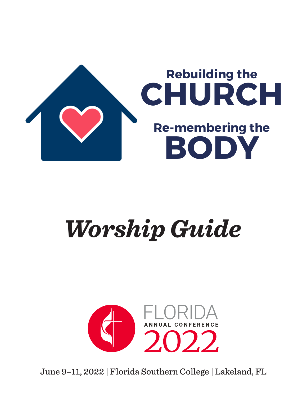

# *Worship Guide*



June 9–11, 2022 | Florida Southern College | Lakeland, FL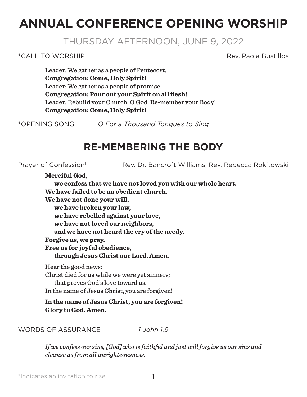## **ANNUAL CONFERENCE OPENING WORSHIP**

## THURSDAY AFTERNOON, JUNE 9, 2022

### \*CALL TO WORSHIP Rev. Paola Bustillos

Leader: We gather as a people of Pentecost. **Congregation: Come, Holy Spirit!** Leader: We gather as a people of promise. **Congregation: Pour out your Spirit on all flesh!** Leader: Rebuild your Church, O God. Re-member your Body! **Congregation: Come, Holy Spirit!**

\*OPENING SONG *O For a Thousand Tongues to Sing*

## **RE-MEMBERING THE BODY**

Prayer of Confession<sup>1</sup> Rev. Dr. Bancroft Williams, Rev. Rebecca Rokitowski

### **Merciful God,**

**we confess that we have not loved you with our whole heart. We have failed to be an obedient church. We have not done your will, we have broken your law, we have rebelled against your love, we have not loved our neighbors, and we have not heard the cry of the needy. Forgive us, we pray. Free us for joyful obedience, through Jesus Christ our Lord. Amen.** Hear the good news: Christ died for us while we were yet sinners; that proves God's love toward us. In the name of Jesus Christ, you are forgiven!

### **In the name of Jesus Christ, you are forgiven! Glory to God. Amen.**

WORDS OF ASSURANCE *1 John 1:9*

*If we confess our sins, [God] who is faithful and just will forgive us our sins and cleanse us from all unrighteousness.*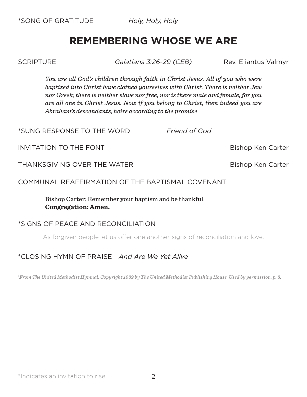\*SONG OF GRATITUDE *Holy, Holy, Holy*

## **REMEMBERING WHOSE WE ARE**

SCRIPTURE *Galatians 3:26-29 (CEB)* Rev. Eliantus Valmyr

*You are all God's children through faith in Christ Jesus. All of you who were baptized into Christ have clothed yourselves with Christ. There is neither Jew nor Greek; there is neither slave nor free; nor is there male and female, for you are all one in Christ Jesus. Now if you belong to Christ, then indeed you are Abraham's descendants, heirs according to the promise.*

\*SUNG RESPONSE TO THE WORD *Friend of God*

INVITATION TO THE FONT And the Second Second Bishop Ken Carter

THANKSGIVING OVER THE WATER **Bishop Ken Carter** Bishop Ken Carter

COMMUNAL REAFFIRMATION OF THE BAPTISMAL COVENANT

Bishop Carter: Remember your baptism and be thankful. **Congregation: Amen.**

### \*SIGNS OF PEACE AND RECONCILIATION

As forgiven people let us offer one another signs of reconciliation and love.

### \*CLOSING HYMN OF PRAISE *And Are We Yet Alive*

*<sup>1</sup> From The United Methodist Hymnal. Copyright 1989 by The United Methodist Publishing House. Used by permission. p. 8.*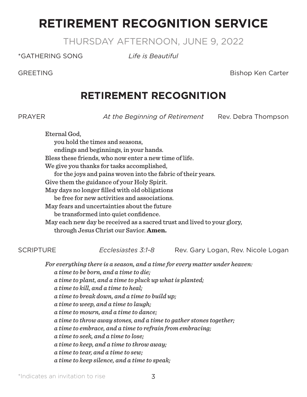## **RETIREMENT RECOGNITION SERVICE**

THURSDAY AFTERNOON, JUNE 9, 2022

\*GATHERING SONG *Life is Beautiful*

GREETING Bishop Ken Carter

## **RETIREMENT RECOGNITION**

PRAYER *At the Beginning of Retirement* Rev. Debra Thompson

Eternal God, you hold the times and seasons, endings and beginnings, in your hands. Bless these friends, who now enter a new time of life. We give you thanks for tasks accomplished, for the joys and pains woven into the fabric of their years. Give them the guidance of your Holy Spirit. May days no longer filled with old obligations be free for new activities and associations. May fears and uncertainties about the future be transformed into quiet confidence. May each new day be received as a sacred trust and lived to your glory, through Jesus Christ our Savior. **Amen.**

SCRIPTURE *Ecclesiastes 3:1-8* Rev. Gary Logan, Rev. Nicole Logan

*For everything there is a season, and a time for every matter under heaven: a time to be born, and a time to die; a time to plant, and a time to pluck up what is planted; a time to kill, and a time to heal; a time to break down, and a time to build up; a time to weep, and a time to laugh; a time to mourn, and a time to dance; a time to throw away stones, and a time to gather stones together; a time to embrace, and a time to refrain from embracing; a time to seek, and a time to lose; a time to keep, and a time to throw away; a time to tear, and a time to sew; a time to keep silence, and a time to speak;*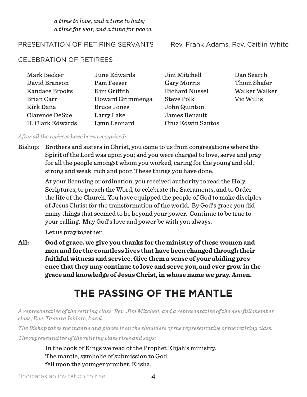*a time to love, and a time to hate; a time for war, and a time for peace.*

### PRESENTATION OF RETIRING SERVANTS Rev. Frank Adams, Rev. Caitlin White

### CELEBRATION OF RETIREES

| Mark Becker           | <b>June Edwards</b> |
|-----------------------|---------------------|
| David Branson         | Pam Feeser          |
| <b>Kandace Brooks</b> | Kim Griffith        |
| <b>Brian Carr</b>     | Howard Grimmenga    |
| Kirk Dana             | <b>Bruce Jones</b>  |
| <b>Clarence DeSue</b> | Larry Lake          |
| H. Clark Edwards      | Lynn Leonard        |

Jim Mitchell Gary Morris Richard Nussel Steve Polk John Quinton James Renault Cruz Edwin Santos

Dan Search Thom Shafer Walker Walker Vic Willis

### *After all the retirees have been recognized:*

Bishop: Brothers and sisters in Christ, you came to us from congregations where the Spirit of the Lord was upon you; and you were charged to love, serve and pray for all the people amongst whom you worked, caring for the young and old, strong and weak, rich and poor. These things you have done.

> At your licensing or ordination, you received authority to read the Holy Scriptures, to preach the Word, to celebrate the Sacraments, and to Order the life of the Church. You have equipped the people of God to make disciples of Jesus Christ for the transformation of the world. By God's grace you did many things that seemed to be beyond your power. Continue to be true to your calling. May God's love and power be with you always.

Let us pray together.

**All: God of grace, we give you thanks for the ministry of these women and men and for the countless lives that have been changed through their faithful witness and service. Give them a sense of your abiding presence that they may continue to love and serve you, and ever grow in the grace and knowledge of Jesus Christ, in whose name we pray. Amen.**

## **THE PASSING OF THE MANTLE**

*A representative of the retiring class, Rev. Jim Mitchell, and a representative of the new full member class, Rev. Tamara Isidore, kneel.*

*The Bishop takes the mantle and places it on the shoulders of the representative of the retiring class. The representative of the retiring class rises and says:*

> In the book of Kings we read of the Prophet Elijah's ministry. The mantle, symbolic of submission to God, fell upon the younger prophet, Elisha,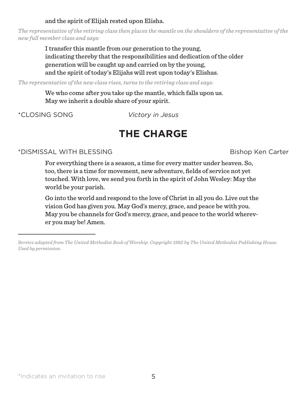and the spirit of Elijah rested upon Elisha.

*The representative of the retiring class then places the mantle on the shoulders of the representative of the new full member class and says:*

I transfer this mantle from our generation to the young, indicating thereby that the responsibilities and dedication of the older generation will be caught up and carried on by the young, and the spirit of today's Elijahs will rest upon today's Elishas.

*The representative of the new class rises, turns to the retiring class and says:*

We who come after you take up the mantle, which falls upon us. May we inherit a double share of your spirit.

\*CLOSING SONG *Victory in Jesus*

## **THE CHARGE**

\*DISMISSAL WITH BLESSING Bishop Ken Carter

For everything there is a season, a time for every matter under heaven. So, too, there is a time for movement, new adventure, fields of service not yet touched. With love, we send you forth in the spirit of John Wesley: May the world be your parish.

Go into the world and respond to the love of Christ in all you do. Live out the vision God has given you. May God's mercy, grace, and peace be with you. May you be channels for God's mercy, grace, and peace to the world wherever you may be! Amen.

*Service adapted from The United Methodist Book of Worship. Copyright 1992 by The United Methodist Publishing House. Used by permission.*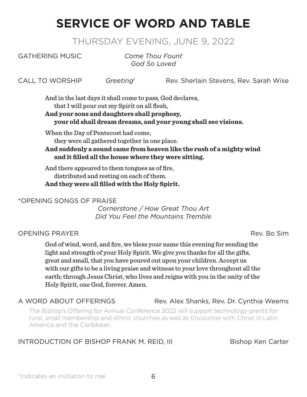## **SERVICE OF WORD AND TABLE**

## THURSDAY EVENING, JUNE 9, 2022

GATHERING MUSIC *Come Thou Fount*

*God So Loved*

CALL TO WORSHIP *Greeting1* Rev. Sherlain Stevens, Rev. Sarah Wise

And in the last days it shall come to pass, God declares, that I will pour out my Spirit on all flesh,

**And your sons and daughters shall prophesy, your old shall dream dreams, and your young shall see visions.**

When the Day of Pentecost had come,

they were all gathered together in one place.

**And suddenly a sound came from heaven like the rush of a mighty wind and it filled all the house where they were sitting.**

And there appeared to them tongues as of fire, distributed and resting on each of them. **And they were all filled with the Holy Spirit.**

### \*OPENING SONGS OF PRAISE

*Cornerstone / How Great Thou Art Did You Feel the Mountains Tremble*

### OPENING PRAYER Rev. Bo Sim

God of wind, word, and fire, we bless your name this evening for sending the light and strength of your Holy Spirit. We give you thanks for all the gifts, great and small, that you have poured out upon your children. Accept us with our gifts to be a living praise and witness to your love throughout all the earth; through Jesus Christ, who lives and reigns with you in the unity of the Holy Spirit, one God, forever. Amen.

### A WORD ABOUT OFFERINGS Rev. Alex Shanks, Rev. Dr. Cynthia Weems

The Bishop's Offering for Annual Conference 2022 will support technology grants for rural, small membership and ethnic churches as well as Encounter with Christ in Latin America and the Caribbean.

### INTRODUCTION OF BISHOP FRANK M. REID, III Bishop Ken Carter

 $*$ Indicates an invitation to rise  $\overline{6}$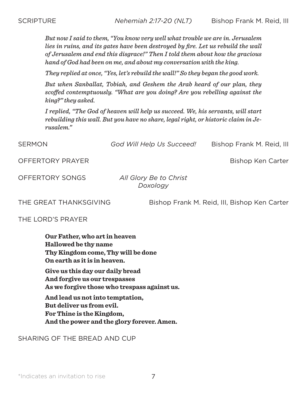*But now I said to them, "You know very well what trouble we are in. Jerusalem lies in ruins, and its gates have been destroyed by fire. Let us rebuild the wall of Jerusalem and end this disgrace!" Then I told them about how the gracious hand of God had been on me, and about my conversation with the king.*

*They replied at once, "Yes, let's rebuild the wall!" So they began the good work.*

*But when Sanballat, Tobiah, and Geshem the Arab heard of our plan, they scoffed contemptuously. "What are you doing? Are you rebelling against the king?" they asked.*

*I replied, "The God of heaven will help us succeed. We, his servants, will start rebuilding this wall. But you have no share, legal right, or historic claim in Jerusalem."*

SERMON *God Will Help Us Succeed!* Bishop Frank M. Reid, III

OFFERTORY PRAYER Bishop Ken Carter

OFFERTORY SONGS *All Glory Be to Christ Doxology*

THE GREAT THANKSGIVING Bishop Frank M. Reid, III, Bishop Ken Carter

THE LORD'S PRAYER

**Our Father, who art in heaven Hallowed be thy name Thy Kingdom come, Thy will be done On earth as it is in heaven. Give us this day our daily bread And forgive us our trespasses As we forgive those who trespass against us. And lead us not into temptation,**

**But deliver us from evil. For Thine is the Kingdom, And the power and the glory forever. Amen.**

SHARING OF THE BREAD AND CUP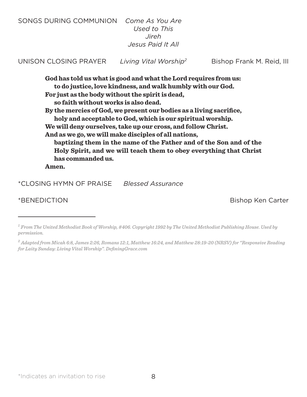SONGS DURING COMMUNION *Come As You Are*

*Used to This Jireh Jesus Paid It All*

UNISON CLOSING PRAYER *Living Vital Worship2* Bishop Frank M. Reid, III

**God has told us what is good and what the Lord requires from us: to do justice, love kindness, and walk humbly with our God. For just as the body without the spirit is dead, so faith without works is also dead. By the mercies of God, we present our bodies as a living sacrifice, holy and acceptable to God, which is our spiritual worship. We will deny ourselves, take up our cross, and follow Christ. And as we go, we will make disciples of all nations, baptizing them in the name of the Father and of the Son and of the Holy Spirit, and we will teach them to obey everything that Christ has commanded us. Amen.**

\*CLOSING HYMN OF PRAISE *Blessed Assurance*

\*BENEDICTION Bishop Ken Carter

*<sup>1</sup> From The United Methodist Book of Worship, #406. Copyright 1992 by The United Methodist Publishing House. Used by permission.*

*<sup>2</sup> Adapted from Micah 6:8, James 2:26, Romans 12:1, Matthew 16:24, and Matthew 28:19-20 (NRSV) for "Responsive Reading for Laity Sunday: Living Vital Worship". DefiningGrace.com*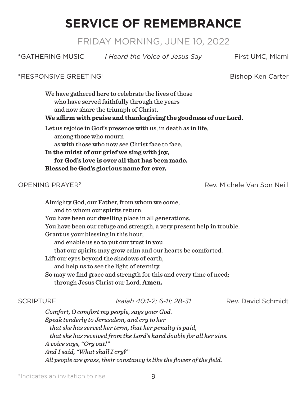## **SERVICE OF REMEMBRANCE**

## FRIDAY MORNING, JUNE 10, 2022

\*GATHERING MUSIC *I Heard the Voice of Jesus Say* First UMC, Miami

### \*RESPONSIVE GREETING1 Bishop Ken Carter

We have gathered here to celebrate the lives of those who have served faithfully through the years and now share the triumph of Christ. **We affirm with praise and thanksgiving the goodness of our Lord.** Let us rejoice in God's presence with us, in death as in life, among those who mourn as with those who now see Christ face to face. **In the midst of our grief we sing with joy,**

**for God's love is over all that has been made. Blessed be God's glorious name for ever.**

OPENING PRAYER<sup>2</sup> and the van Son Neill and Son Neill and Son Neill and Son Neill and Son Neill and Son Neill and Son Neill and Son Neill and Son Neill and Son Neill and Son Neill and Son Neill and Son Neill and Son Neill

Almighty God, our Father, from whom we come, and to whom our spirits return: You have been our dwelling place in all generations. You have been our refuge and strength, a very present help in trouble. Grant us your blessing in this hour, and enable us so to put our trust in you that our spirits may grow calm and our hearts be comforted. Lift our eyes beyond the shadows of earth, and help us to see the light of eternity. So may we find grace and strength for this and every time of need; through Jesus Christ our Lord. **Amen.**

SCRIPTURE *Isaiah 40:1-2; 6-11; 28-31* Rev. David Schmidt

*Comfort, O comfort my people, says your God. Speak tenderly to Jerusalem, and cry to her that she has served her term, that her penalty is paid, that she has received from the Lord's hand double for all her sins. A voice says, "Cry out!" And I said, "What shall I cry?" All people are grass, their constancy is like the flower of the field.*

 $*$ Indicates an invitation to rise  $\overline{9}$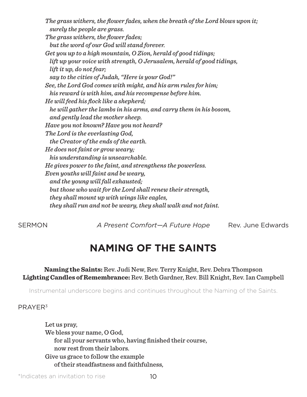*The grass withers, the flower fades, when the breath of the Lord blows upon it; surely the people are grass. The grass withers, the flower fades; but the word of our God will stand forever. Get you up to a high mountain, O Zion, herald of good tidings; lift up your voice with strength, O Jerusalem, herald of good tidings, lift it up, do not fear; say to the cities of Judah, "Here is your God!" See, the Lord God comes with might, and his arm rules for him; his reward is with him, and his recompense before him. He will feed his flock like a shepherd; he will gather the lambs in his arms, and carry them in his bosom, and gently lead the mother sheep. Have you not known? Have you not heard? The Lord is the everlasting God, the Creator of the ends of the earth. He does not faint or grow weary; his understanding is unsearchable. He gives power to the faint, and strengthens the powerless. Even youths will faint and be weary, and the young will fall exhausted; but those who wait for the Lord shall renew their strength, they shall mount up with wings like eagles, they shall run and not be weary, they shall walk and not faint.*

SERMON *A Present Comfort—A Future Hope* Rev. June Edwards

## **NAMING OF THE SAINTS**

### **Naming the Saints:** Rev. Judi New, Rev. Terry Knight, Rev. Debra Thompson **Lighting Candles of Remembrance:** Rev. Beth Gardner, Rev. Bill Knight, Rev. Ian Campbell

Instrumental underscore begins and continues throughout the Naming of the Saints.

### PRAYER3

Let us pray, We bless your name, O God, for all your servants who, having finished their course, now rest from their labors. Give us grace to follow the example of their steadfastness and faithfulness,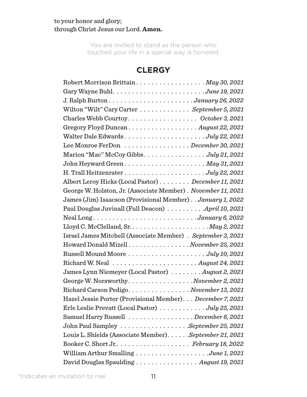### to your honor and glory; through Christ Jesus our Lord. **Amen.**

You are invited to stand as the person who touched your life in a special way is honored.

### **CLERGY**

| Robert Morrison Brittain May 30, 2021                                            |
|----------------------------------------------------------------------------------|
|                                                                                  |
|                                                                                  |
| Wilton "Wilt" Cary Carter September 5, 2021                                      |
| Charles Webb Courtoy October 3, 2021                                             |
| Gregory Floyd Duncan August 22, 2021                                             |
| Walter Dale Edwards <i>July 22, 2021</i>                                         |
| Lee Monroe FerDon December 30, 2021                                              |
| Marion "Mac" McCoy Gibbs <i>July 21, 2021</i>                                    |
| John Heyward Green May 31, 2021                                                  |
| H. Trall HeitzenraterJuly 22, 2021                                               |
| Albert Leroy Hicks (Local Pastor) December 11, 2021                              |
| George W. Holston, Jr. (Associate Member). November 11, 2021                     |
| James (Jim) Isaacson (Provisional Member) January 1, 2022                        |
| Paul Douglas Juvinall (Full Deacon) April 10, 2021                               |
| Neal LongJanuary 6, 2022                                                         |
| Lloyd C. McClelland, Sr. $\dots \dots \dots \dots \dots \dots \dots$ May 2, 2021 |
| Israel James Mitchell (Associate Member) . September 3, 2021                     |
| Howard Donald Mizell November 25, 2021                                           |
| Russell Mound Moore <i>July 10, 2021</i>                                         |
| Richard W. Neal  August 24, 2021                                                 |
| James Lynn Niemeyer (Local Pastor) August 2, 2021                                |
| George W. Norsworthy November 2, 2021                                            |
| Richard Carson Pedigo. November 13, 2021                                         |
| Hazel Jessie Porter (Provisional Member). December 7, 2021                       |
| Erle Leslie Prevatt (Local Pastor) $\dots \dots \dots \dots$ July 25, 2021       |
| Samuel Harry Russell December 6, 2021                                            |
| John Paul Sampley September 25, 2021                                             |
| Louis L. Shields (Associate Member). September 21, 2021                          |
| Booker C. Short Jr. $\dots \dots \dots \dots \dots$ . February 18, 2022          |
| William Arthur Smalling June 1, 2021                                             |
| David Douglas Spaulding  August 19, 2021                                         |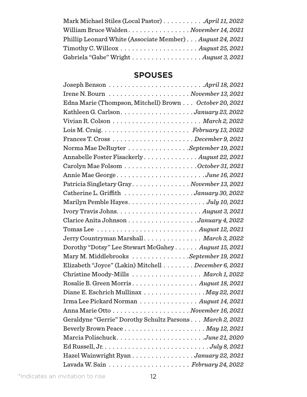| Mark Michael Stiles (Local Pastor) 4pril 11, 2022        |  |
|----------------------------------------------------------|--|
| William Bruce Walden November 14, 2021                   |  |
| Phillip Leonard White (Associate Member) August 24, 2021 |  |
|                                                          |  |
| Gabriela "Gabe" Wright  August 3, 2021                   |  |

### **SPOUSES**

| Edna Marie (Thompson, Mitchell) Brown October 20, 2021                            |  |
|-----------------------------------------------------------------------------------|--|
|                                                                                   |  |
| Vivian R. Colson $\ldots \ldots \ldots \ldots \ldots \ldots \ldots$ March 2, 2022 |  |
| Lois M. Craig. $\dots \dots \dots \dots \dots \dots \dots$ . February 13, 2022    |  |
|                                                                                   |  |
| Norma Mae DeRuyter September 19, 2021                                             |  |
| Annabelle Foster Fisackerly August 22, 2021                                       |  |
|                                                                                   |  |
| Annie Mae GeorgeJune 16, 2021                                                     |  |
| Patricia Singletary Gray November 13, 2021                                        |  |
| Catherine L. Griffith January 30, 2022                                            |  |
|                                                                                   |  |
|                                                                                   |  |
| Clarice Anita Johnson January 4, 2022                                             |  |
|                                                                                   |  |
| Jerry Countryman Marshall March 3, 2022                                           |  |
| Dorothy "Dotsy" Lee Stewart McGahey August 15, 2021                               |  |
| Mary M. Middlebrooks September 19, 2021                                           |  |
| Elizabeth "Joyce" (Lakin) Mitchell December 6, 2021                               |  |
| Christine Moody-Mills  March 1, 2022                                              |  |
| Rosalie B. Green Morris August 18, 2021                                           |  |
| Diane E. Eschrich Mullinax May 22, 2021                                           |  |
| Irma Lee Pickard Norman August 14, 2021                                           |  |
|                                                                                   |  |
| Geraldyne "Gerrie" Dorothy Schultz Parsons March 2, 2021                          |  |
| Beverly Brown Peace $\dots \dots \dots \dots \dots \dots \dots$ $May\ 12, 2021$   |  |
| Marcia PolischuckJune 21, 2020                                                    |  |
|                                                                                   |  |
| Hazel Wainwright Ryan January 22, 2021                                            |  |
|                                                                                   |  |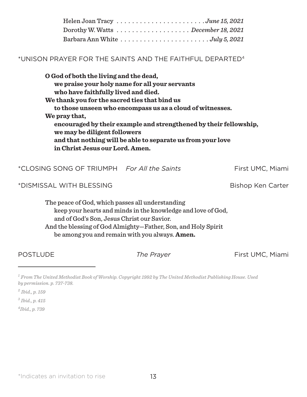| Helen Joan Tracy $\,\ldots\, \ldots\, \ldots\, \ldots\, \ldots\, \ldots\, \ldots\, June$ 15, 2021 |  |
|---------------------------------------------------------------------------------------------------|--|
| Dorothy W. Watts $\dots\dots\dots\dots\dots\dots\dots$ December 18, 2021                          |  |
| Barbara Ann White $\,\dots\, \dots\, \dots\, \dots\, \dots\, \dots\, July$ 5, 2021                |  |

### \*UNISON PRAYER FOR THE SAINTS AND THE FAITHFUL DEPARTED4

**O God of both the living and the dead, we praise your holy name for all your servants who have faithfully lived and died. We thank you for the sacred ties that bind us to those unseen who encompass us as a cloud of witnesses. We pray that, encouraged by their example and strengthened by their fellowship, we may be diligent followers and that nothing will be able to separate us from your love in Christ Jesus our Lord. Amen.**

### \*CLOSING SONG OF TRIUMPH *For All the Saints* First UMC, Miami

### \*DISMISSAL WITH BLESSING Bishop Ken Carter

The peace of God, which passes all understanding keep your hearts and minds in the knowledge and love of God, and of God's Son, Jesus Christ our Savior. And the blessing of God Almighty—Father, Son, and Holy Spirit be among you and remain with you always. **Amen.**

POSTLUDE The Prayer **First UMC, Miami** 

*<sup>1</sup> From The United Methodist Book of Worship. Copyright 1992 by The United Methodist Publishing House. Used by permission. p. 737-738.*

*<sup>2</sup> Ibid., p. 159*

*<sup>3</sup> Ibid., p. 415*

*4 Ibid., p. 739*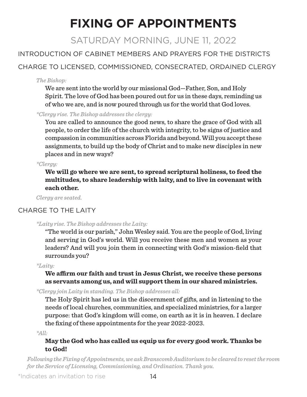## **FIXING OF APPOINTMENTS**

## SATURDAY MORNING, JUNE 11, 2022

### INTRODUCTION OF CABINET MEMBERS AND PRAYERS FOR THE DISTRICTS

### CHARGE TO LICENSED, COMMISSIONED, CONSECRATED, ORDAINED CLERGY

### *The Bishop:*

We are sent into the world by our missional God—Father, Son, and Holy Spirit. The love of God has been poured out for us in these days, reminding us of who we are, and is now poured through us for the world that God loves.

### *\*Clergy rise. The Bishop addresses the clergy:*

You are called to announce the good news, to share the grace of God with all people, to order the life of the church with integrity, to be signs of justice and compassion in communities across Florida and beyond. Will you accept these assignments, to build up the body of Christ and to make new disciples in new places and in new ways?

### *\*Clergy:*

**We will go where we are sent, to spread scriptural holiness, to feed the multitudes, to share leadership with laity, and to live in covenant with each other.**

*Clergy are seated.*

### CHARGE TO THE LAITY

*\*Laity rise. The Bishop addresses the Laity:*

"The world is our parish," John Wesley said. You are the people of God, living and serving in God's world. Will you receive these men and women as your leaders? And will you join them in connecting with God's mission-field that surrounds you?

*\*Laity:*

### **We affirm our faith and trust in Jesus Christ, we receive these persons as servants among us, and will support them in our shared ministries.**

*\*Clergy join Laity in standing. The Bishop addresses all:*

The Holy Spirit has led us in the discernment of gifts, and in listening to the needs of local churches, communities, and specialized ministries, for a larger purpose: that God's kingdom will come, on earth as it is in heaven. I declare the fixing of these appointments for the year 2022-2023.

*\*All:*

### **May the God who has called us equip us for every good work. Thanks be to God!**

*Following the Fixing of Appointments, we ask Branscomb Auditorium to be cleared to reset the room for the Service of Licensing, Commissioning, and Ordination. Thank you.*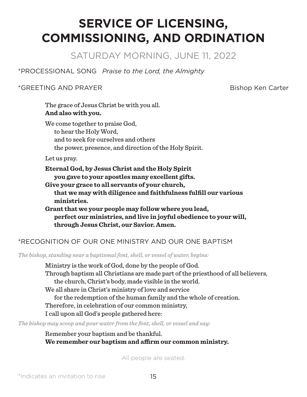## **SERVICE OF LICENSING, COMMISSIONING, AND ORDINATION**

## SATURDAY MORNING, JUNE 11, 2022

\*PROCESSIONAL SONG *Praise to the Lord, the Almighty*

\*GREETING AND PRAYER Bishop Ken Carter

| The grace of Jesus Christ be with you all.<br>And also with you.                                                                                                                                                                         |
|------------------------------------------------------------------------------------------------------------------------------------------------------------------------------------------------------------------------------------------|
| We come together to praise God,<br>to hear the Holy Word,<br>and to seek for ourselves and others<br>the power, presence, and direction of the Holy Spirit.                                                                              |
| Let us pray.                                                                                                                                                                                                                             |
| Eternal God, by Jesus Christ and the Holy Spirit<br>you gave to your apostles many excellent gifts.<br>Give your grace to all servants of your church,<br>that we may with diligence and faithfulness fulfill our various<br>ministries. |
| Grant that we your people may follow where you lead,<br>perfect our ministries, and live in joyful obedience to your will,<br>through Jesus Christ, our Savior. Amen.                                                                    |

### \*RECOGNITION OF OUR ONE MINISTRY AND OUR ONE BAPTISM

*The bishop, standing near a baptismal font, shell, or vessel of water, begins:*

Ministry is the work of God, done by the people of God. Through baptism all Christians are made part of the priesthood of all believers, the church, Christ's body, made visible in the world. We all share in Christ's ministry of love and service for the redemption of the human family and the whole of creation. Therefore, in celebration of our common ministry, I call upon all God's people gathered here:

*The bishop may scoop and pour water from the font, shell, or vessel and say:*

### Remember your baptism and be thankful. **We remember our baptism and affirm our common ministry.**

All people are seated.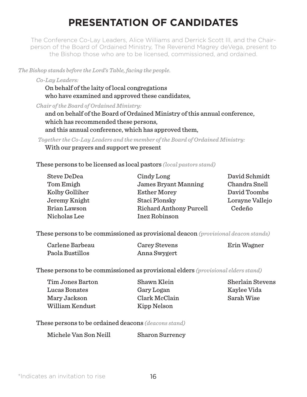## **PRESENTATION OF CANDIDATES**

The Conference Co-Lay Leaders, Alice Williams and Derrick Scott III, and the Chairperson of the Board of Ordained Ministry, The Reverend Magrey deVega, present to the Bishop those who are to be licensed, commissioned, and ordained.

*The Bishop stands before the Lord's Table, facing the people.*

*Co-Lay Leaders:*

On behalf of the laity of local congregations who have examined and approved these candidates,

*Chair of the Board of Ordained Ministry:*

and on behalf of the Board of Ordained Ministry of this annual conference, which has recommended these persons, and this annual conference, which has approved them,

*Together the Co-Lay Leaders and the member of the Board of Ordained Ministry:*

With our prayers and support we present

These persons to be licensed as local pastors *(local pastors stand)*

| Steve DeDea         | Cindy Long                     | David Schmidt   |
|---------------------|--------------------------------|-----------------|
| Tom Emigh           | <b>James Bryant Manning</b>    | Chandra Snell   |
| Kolby Golliher      | <b>Esther Morey</b>            | David Toombs    |
| Jeremy Knight       | Staci Plonsky                  | Lorayne Vallejo |
| <b>Brian Lawson</b> | <b>Richard Anthony Purcell</b> | Cedeño          |
| Nicholas Lee        | Inez Robinson                  |                 |

These persons to be commissioned as provisional deacon *(provisional deacon stands)*

| Carlene Barbeau | Carey Stevens | Erin Wagner |
|-----------------|---------------|-------------|
| Paola Bustillos | Anna Swygert  |             |

These persons to be commissioned as provisional elders *(provisional elders stand)*

| Tim Jones Barton | Shawn Klein        |
|------------------|--------------------|
| Lucas Bonates    | Gary Logan         |
| Mary Jackson     | Clark McClain      |
| William Kendust  | <b>Kipp Nelson</b> |
|                  |                    |

Sherlain Stevens Kaylee Vida Sarah Wise

These persons to be ordained deacons *(deacons stand)*

Michele Van Son Neill Sharon Surrency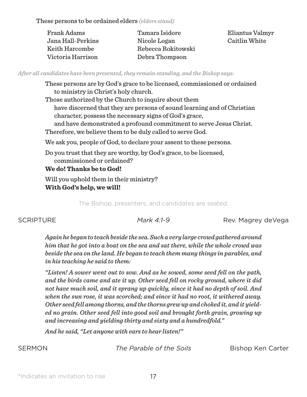These persons to be ordained elders *(elders stand)*

Frank Adams Jana Hall-Perkins Keith Harcombe Victoria Harrison

Tamara Isidore Nicole Logan Rebecca Rokitowski Debra Thompson

Eliantus Valmyr Caitlin White

*After all candidates have been presented, they remain standing, and the Bishop says:*

These persons are by God's grace to be licensed, commissioned or ordained to ministry in Christ's holy church. Those authorized by the Church to inquire about them have discerned that they are persons of sound learning and of Christian character, possess the necessary signs of God's grace, and have demonstrated a profound commitment to serve Jesus Christ. Therefore, we believe them to be duly called to serve God. We ask you, people of God, to declare your assent to these persons. Do you trust that they are worthy, by God's grace, to be licensed, commissioned or ordained? **We do! Thanks be to God!** Will you uphold them in their ministry?

**With God's help, we will!**

The Bishop, presenters, and candidates are seated.

SCRIPTURE *Mark 4:1-9* Rev. Magrey deVega

*Again he began to teach beside the sea. Such a very large crowd gathered around him that he got into a boat on the sea and sat there, while the whole crowd was beside the sea on the land. He began to teach them many things in parables, and in his teaching he said to them:*

*"Listen! A sower went out to sow. And as he sowed, some seed fell on the path, and the birds came and ate it up. Other seed fell on rocky ground, where it did not have much soil, and it sprang up quickly, since it had no depth of soil. And when the sun rose, it was scorched; and since it had no root, it withered away. Other seed fell among thorns, and the thorns grew up and choked it, and it yielded no grain. Other seed fell into good soil and brought forth grain, growing up and increasing and yielding thirty and sixty and a hundredfold."*

*And he said, "Let anyone with ears to hear listen!"*

SERMON The Parable of the Soils Bishop Ken Carter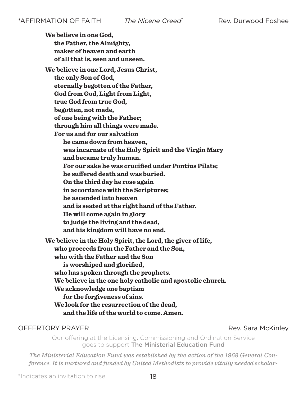**We believe in one God, the Father, the Almighty, maker of heaven and earth of all that is, seen and unseen. We believe in one Lord, Jesus Christ, the only Son of God, eternally begotten of the Father, God from God, Light from Light, true God from true God, begotten, not made, of one being with the Father; through him all things were made. For us and for our salvation he came down from heaven, was incarnate of the Holy Spirit and the Virgin Mary and became truly human. For our sake he was crucified under Pontius Pilate; he suffered death and was buried. On the third day he rose again in accordance with the Scriptures; he ascended into heaven and is seated at the right hand of the Father. He will come again in glory to judge the living and the dead, and his kingdom will have no end. We believe in the Holy Spirit, the Lord, the giver of life, who proceeds from the Father and the Son, who with the Father and the Son is worshiped and glorified, who has spoken through the prophets. We believe in the one holy catholic and apostolic church. We acknowledge one baptism for the forgiveness of sins. We look for the resurrection of the dead, and the life of the world to come. Amen.**

### OFFERTORY PRAYER **Rev. Sara McKinley**

Our offering at the Licensing, Commissioning and Ordination Service goes to support The Ministerial Education Fund

*The Ministerial Education Fund was established by the action of the 1968 General Conference. It is nurtured and funded by United Methodists to provide vitally needed scholar-*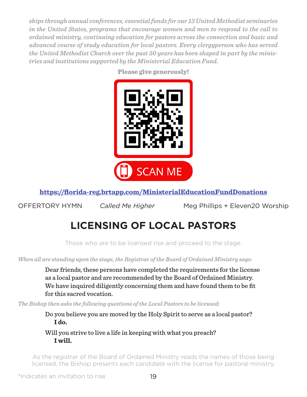*ships through annual conferences, essential funds for our 13 United Methodist seminaries in the United States, programs that encourage women and men to respond to the call to ordained ministry, continuing education for pastors across the connection and basic and advanced course of study education for local pastors. Every clergyperson who has served the United Methodist Church over the past 50 years has been shaped in part by the ministries and institutions supported by the Ministerial Education Fund.*

**SCAN ME** 

**Please give generously!**

**https://florida-reg.brtapp.com/MinisterialEducationFundDonations**

OFFERTORY HYMN *Called Me Higher* Meg Phillips + Eleven20 Worship

## **LICENSING OF LOCAL PASTORS**

Those who are to be licensed rise and proceed to the stage.

*When all are standing upon the stage, the Registrar of the Board of Ordained Ministry says:*

Dear friends, these persons have completed the requirements for the license as a local pastor and are recommended by the Board of Ordained Ministry. We have inquired diligently concerning them and have found them to be fit for this sacred vocation.

*The Bishop then asks the following questions of the Local Pastors to be licensed:*

Do you believe you are moved by the Holy Spirit to serve as a local pastor? **I do.**

Will you strive to live a life in keeping with what you preach? **I will.**

As the registrar of the Board of Ordained Ministry reads the names of those being licensed, the Bishop presents each candidate with the license for pastoral ministry.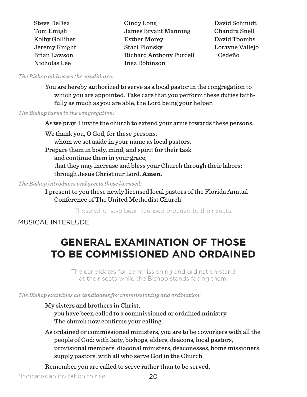| Steve DeDea         | Cindy Long                     | David Schmidt   |
|---------------------|--------------------------------|-----------------|
| Tom Emigh           | <b>James Bryant Manning</b>    | Chandra Snell   |
| Kolby Golliher      | <b>Esther Morey</b>            | David Toombs    |
| Jeremy Knight       | Staci Plonsky                  | Lorayne Vallejo |
| <b>Brian Lawson</b> | <b>Richard Anthony Purcell</b> | Cedeño          |
| Nicholas Lee        | Inez Robinson                  |                 |

*The Bishop addresses the candidates:*

You are hereby authorized to serve as a local pastor in the congregation to which you are appointed. Take care that you perform these duties faithfully as much as you are able, the Lord being your helper.

*The Bishop turns to the congregation:*

As we pray, I invite the church to extend your arms towards these persons.

We thank you, O God, for these persons, whom we set aside in your name as local pastors. Prepare them in body, mind, and spirit for their task and continue them in your grace, that they may increase and bless your Church through their labors; through Jesus Christ our Lord. **Amen.**

*The Bishop introduces and greets those licensed:*

I present to you these newly licensed local pastors of the Florida Annual Conference of The United Methodist Church!

Those who have been licensed proceed to their seats.

MUSICAL INTERLUDE

## **GENERAL EXAMINATION OF THOSE TO BE COMMISSIONED AND ORDAINED**

The candidates for commissioning and ordination stand at their seats while the Bishop stands facing them.

*The Bishop examines all candidates for commissioning and ordination:*

### My sisters and brothers in Christ,

you have been called to a commissioned or ordained ministry. The church now confirms your calling.

As ordained or commissioned ministers, you are to be coworkers with all the people of God: with laity, bishops, elders, deacons, local pastors, provisional members, diaconal ministers, deaconesses, home missioners, supply pastors, with all who serve God in the Church.

Remember you are called to serve rather than to be served,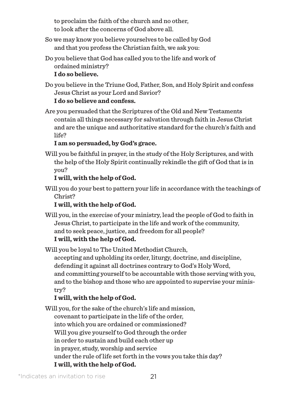to proclaim the faith of the church and no other, to look after the concerns of God above all.

- So we may know you believe yourselves to be called by God and that you profess the Christian faith, we ask you:
- Do you believe that God has called you to the life and work of ordained ministry?

### **I do so believe.**

Do you believe in the Triune God, Father, Son, and Holy Spirit and confess Jesus Christ as your Lord and Savior?

### **I do so believe and confess.**

Are you persuaded that the Scriptures of the Old and New Testaments contain all things necessary for salvation through faith in Jesus Christ and are the unique and authoritative standard for the church's faith and life?

### **I am so persuaded, by God's grace.**

Will you be faithful in prayer, in the study of the Holy Scriptures, and with the help of the Holy Spirit continually rekindle the gift of God that is in you?

### **I will, with the help of God.**

Will you do your best to pattern your life in accordance with the teachings of Christ?

### **I will, with the help of God.**

Will you, in the exercise of your ministry, lead the people of God to faith in Jesus Christ, to participate in the life and work of the community, and to seek peace, justice, and freedom for all people? **I will, with the help of God.**

Will you be loyal to The United Methodist Church,

accepting and upholding its order, liturgy, doctrine, and discipline, defending it against all doctrines contrary to God's Holy Word, and committing yourself to be accountable with those serving with you, and to the bishop and those who are appointed to supervise your ministry?

### **I will, with the help of God.**

Will you, for the sake of the church's life and mission, covenant to participate in the life of the order, into which you are ordained or commissioned? Will you give yourself to God through the order in order to sustain and build each other up in prayer, study, worship and service under the rule of life set forth in the vows you take this day? **I will, with the help of God.**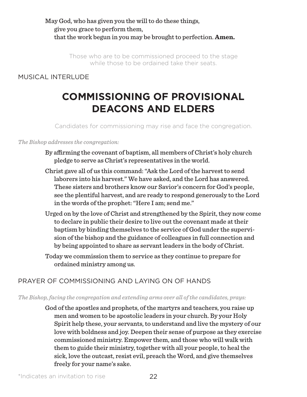May God, who has given you the will to do these things, give you grace to perform them, that the work begun in you may be brought to perfection. **Amen.**

> Those who are to be commissioned proceed to the stage while those to be ordained take their seats.

### MUSICAL INTERLUDE

## **COMMISSIONING OF PROVISIONAL DEACONS AND ELDERS**

Candidates for commissioning may rise and face the congregation.

### *The Bishop addresses the congregation:*

- By affirming the covenant of baptism, all members of Christ's holy church pledge to serve as Christ's representatives in the world.
- Christ gave all of us this command: "Ask the Lord of the harvest to send laborers into his harvest." We have asked, and the Lord has answered. These sisters and brothers know our Savior's concern for God's people, see the plentiful harvest, and are ready to respond generously to the Lord in the words of the prophet: "Here I am; send me."
- Urged on by the love of Christ and strengthened by the Spirit, they now come to declare in public their desire to live out the covenant made at their baptism by binding themselves to the service of God under the supervision of the bishop and the guidance of colleagues in full connection and by being appointed to share as servant leaders in the body of Christ.
- Today we commission them to service as they continue to prepare for ordained ministry among us.

### PRAYER OF COMMISSIONING AND LAYING ON OF HANDS

### *The Bishop, facing the congregation and extending arms over all of the candidates, prays:*

God of the apostles and prophets, of the martyrs and teachers, you raise up men and women to be apostolic leaders in your church. By your Holy Spirit help these, your servants, to understand and live the mystery of our love with boldness and joy. Deepen their sense of purpose as they exercise commissioned ministry. Empower them, and those who will walk with them to guide their ministry, together with all your people, to heal the sick, love the outcast, resist evil, preach the Word, and give themselves freely for your name's sake.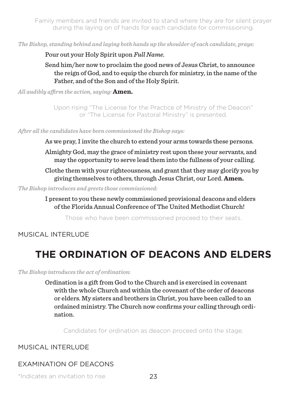Family members and friends are invited to stand where they are for silent prayer during the laying on of hands for each candidate for commissioning.

*The Bishop, standing behind and laying both hands up the shoulder of each candidate, prays:*

### Pour out your Holy Spirit upon *Full Name.*

Send him/her now to proclaim the good news of Jesus Christ, to announce the reign of God, and to equip the church for ministry, in the name of the Father, and of the Son and of the Holy Spirit.

*All audibly affirm the action, saying:* **Amen.**

Upon rising "The License for the Practice of Ministry of the Deacon" or "The License for Pastoral Ministry" is presented.

*After all the candidates have been commissioned the Bishop says:*

As we pray, I invite the church to extend your arms towards these persons.

Almighty God, may the grace of ministry rest upon these your servants, and may the opportunity to serve lead them into the fullness of your calling.

Clothe them with your righteousness, and grant that they may glorify you by giving themselves to others, through Jesus Christ, our Lord. **Amen.**

*The Bishop introduces and greets those commissioned:*

I present to you these newly commissioned provisional deacons and elders of the Florida Annual Conference of The United Methodist Church!

Those who have been commissioned proceed to their seats.

### MUSICAL INTERLUDE

## **THE ORDINATION OF DEACONS AND ELDERS**

### *The Bishop introduces the act of ordination:*

Ordination is a gift from God to the Church and is exercised in covenant with the whole Church and within the covenant of the order of deacons or elders. My sisters and brothers in Christ, you have been called to an ordained ministry. The Church now confirms your calling through ordination.

Candidates for ordination as deacon proceed onto the stage.

### MUSICAL INTERLUDE

### EXAMINATION OF DEACONS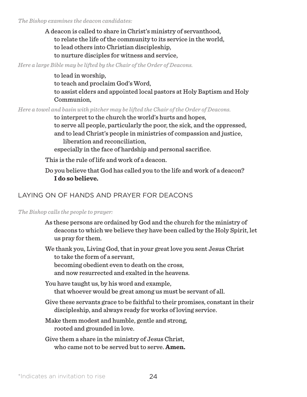### *The Bishop examines the deacon candidates:*

A deacon is called to share in Christ's ministry of servanthood, to relate the life of the community to its service in the world, to lead others into Christian discipleship, to nurture disciples for witness and service,

*Here a large Bible may be lifted by the Chair of the Order of Deacons.*

to lead in worship, to teach and proclaim God's Word, to assist elders and appointed local pastors at Holy Baptism and Holy Communion,

*Here a towel and basin with pitcher may be lifted the Chair of the Order of Deacons.*

to interpret to the church the world's hurts and hopes, to serve all people, particularly the poor, the sick, and the oppressed, and to lead Christ's people in ministries of compassion and justice, liberation and reconciliation,

especially in the face of hardship and personal sacrifice.

This is the rule of life and work of a deacon.

Do you believe that God has called you to the life and work of a deacon? **I do so believe.**

### LAYING ON OF HANDS AND PRAYER FOR DEACONS

### *The Bishop calls the people to prayer:*

As these persons are ordained by God and the church for the ministry of deacons to which we believe they have been called by the Holy Spirit, let us pray for them.

We thank you, Living God, that in your great love you sent Jesus Christ to take the form of a servant, becoming obedient even to death on the cross, and now resurrected and exalted in the heavens.

- You have taught us, by his word and example, that whoever would be great among us must be servant of all.
- Give these servants grace to be faithful to their promises, constant in their discipleship, and always ready for works of loving service.
- Make them modest and humble, gentle and strong, rooted and grounded in love.
- Give them a share in the ministry of Jesus Christ, who came not to be served but to serve. **Amen.**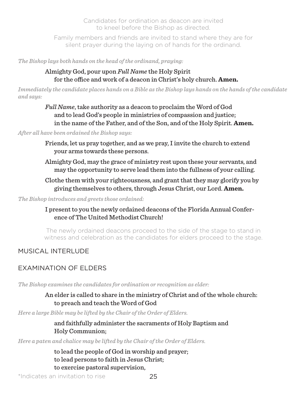Candidates for ordination as deacon are invited to kneel before the Bishop as directed.

Family members and friends are invited to stand where they are for silent prayer during the laying on of hands for the ordinand.

*The Bishop lays both hands on the head of the ordinand, praying:*

### Almighty God, pour upon *Full Name* the Holy Spirit for the office and work of a deacon in Christ's holy church. **Amen.**

*Immediately the candidate places hands on a Bible as the Bishop lays hands on the hands of the candidate and says:*

*Full Name*, take authority as a deacon to proclaim the Word of God and to lead God's people in ministries of compassion and justice; in the name of the Father, and of the Son, and of the Holy Spirit. **Amen.**

### *After all have been ordained the Bishop says:*

Friends, let us pray together, and as we pray, I invite the church to extend your arms towards these persons.

Almighty God, may the grace of ministry rest upon these your servants, and may the opportunity to serve lead them into the fullness of your calling.

Clothe them with your righteousness, and grant that they may glorify you by giving themselves to others, through Jesus Christ, our Lord. **Amen.**

### *The Bishop introduces and greets those ordained:*

I present to you the newly ordained deacons of the Florida Annual Conference of The United Methodist Church!

The newly ordained deacons proceed to the side of the stage to stand in witness and celebration as the candidates for elders proceed to the stage.

### MUSICAL INTERLUDE

### EXAMINATION OF ELDERS

*The Bishop examines the candidates for ordination or recognition as elder:*

### An elder is called to share in the ministry of Christ and of the whole church: to preach and teach the Word of God

*Here a large Bible may be lifted by the Chair of the Order of Elders.*

### and faithfully administer the sacraments of Holy Baptism and Holy Communion;

*Here a paten and chalice may be lifted by the Chair of the Order of Elders.*

to lead the people of God in worship and prayer; to lead persons to faith in Jesus Christ; to exercise pastoral supervision,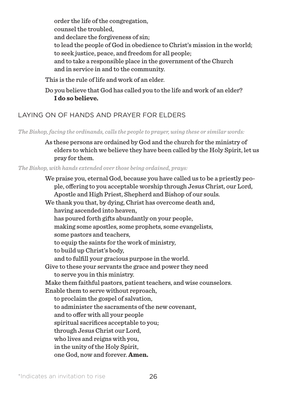order the life of the congregation, counsel the troubled, and declare the forgiveness of sin; to lead the people of God in obedience to Christ's mission in the world; to seek justice, peace, and freedom for all people; and to take a responsible place in the government of the Church and in service in and to the community.

This is the rule of life and work of an elder.

Do you believe that God has called you to the life and work of an elder? **I do so believe.**

### LAYING ON OF HANDS AND PRAYER FOR ELDERS

*The Bishop, facing the ordinands, calls the people to prayer, using these or similar words:*

As these persons are ordained by God and the church for the ministry of elders to which we believe they have been called by the Holy Spirit, let us pray for them.

*The Bishop, with hands extended over those being ordained, prays:*

We praise you, eternal God, because you have called us to be a priestly people, offering to you acceptable worship through Jesus Christ, our Lord, Apostle and High Priest, Shepherd and Bishop of our souls. We thank you that, by dying, Christ has overcome death and, having ascended into heaven, has poured forth gifts abundantly on your people, making some apostles, some prophets, some evangelists, some pastors and teachers, to equip the saints for the work of ministry, to build up Christ's body, and to fulfill your gracious purpose in the world. Give to these your servants the grace and power they need to serve you in this ministry. Make them faithful pastors, patient teachers, and wise counselors. Enable them to serve without reproach, to proclaim the gospel of salvation, to administer the sacraments of the new covenant, and to offer with all your people spiritual sacrifices acceptable to you; through Jesus Christ our Lord, who lives and reigns with you, in the unity of the Holy Spirit, one God, now and forever. **Amen.**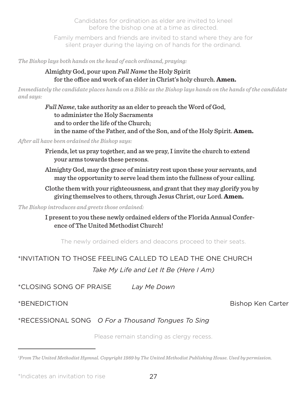Candidates for ordination as elder are invited to kneel before the bishop one at a time as directed.

Family members and friends are invited to stand where they are for silent prayer during the laying on of hands for the ordinand.

*The Bishop lays both hands on the head of each ordinand, praying:*

### Almighty God, pour upon *Full Name* the Holy Spirit for the office and work of an elder in Christ's holy church. **Amen.**

*Immediately the candidate places hands on a Bible as the Bishop lays hands on the hands of the candidate and says:*

*Full Name*, take authority as an elder to preach the Word of God, to administer the Holy Sacraments and to order the life of the Church; in the name of the Father, and of the Son, and of the Holy Spirit. **Amen.**

*After all have been ordained the Bishop says:*

Friends, let us pray together, and as we pray, I invite the church to extend your arms towards these persons.

Almighty God, may the grace of ministry rest upon these your servants, and may the opportunity to serve lead them into the fullness of your calling.

Clothe them with your righteousness, and grant that they may glorify you by giving themselves to others, through Jesus Christ, our Lord. **Amen.**

*The Bishop introduces and greets those ordained:*

I present to you these newly ordained elders of the Florida Annual Conference of The United Methodist Church!

The newly ordained elders and deacons proceed to their seats.

### \*INVITATION TO THOSE FEELING CALLED TO LEAD THE ONE CHURCH *Take My Life and Let It Be (Here I Am)*

\*CLOSING SONG OF PRAISE *Lay Me Down*

### \*BENEDICTION Bishop Ken Carter

### \*RECESSIONAL SONG *O For a Thousand Tongues To Sing*

Please remain standing as clergy recess.

*<sup>1</sup> From The United Methodist Hymnal. Copyright 1989 by The United Methodist Publishing House. Used by permission.*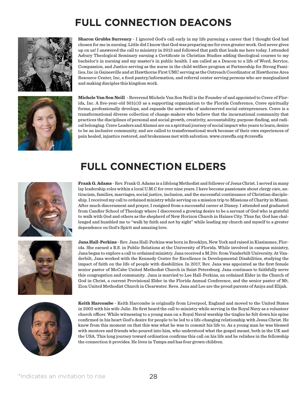## **FULL CONNECTION DEACONS**





**Sharon Grubbs Surrency** - I ignored God's call early in my life pursuing a career that I thought God had chosen for me in nursing. Little did I know that God was preparing me for even greater work. God never gives up on us! I answered the call to ministry in 2013 and followed that path that leads me here today. I attended Asbury Theological Seminary earning a Certificate in Christian Studies adding theological courses to my bachelor's in nursing and my master's in public health. I am called as a Deacon to a life of Word, Service, Compassion, and Justice serving as the nurse in the child welfare program at Partnership for Strong Families, Inc in Gainesville and at Hawthorne First UMC serving as the Outreach Coordinator at Hawthorne Area Resource Center, Inc, a food pantry/information, and referral center serving persons who are marginalized and making disciples this kingdom work.

**Michele Van Son Neill** - Reverend Michele Van Son Neill is the Founder of and appointed to Crave of Florida, Inc. A five-year-old 501(c)3 as a supporting organization to the Florida Conference, Crave spiritually forms, professionally develops, and expands the networks of underserved social entrepreneurs. Crave is a transformational diverse collection of change-makers who believe that the incarnational community that practices the disciplines of personal and social growth, creativity, accountability, purpose-finding, and radical belonging. Crave Leaders and Alumni are on a spiritual journey of social impact who yearn to learn, desire to be an inclusive community, and are called to transformational work because of their own experiences of pain healed, injustice restored, and brokenness met with salvation. www.cravefla.org #cravefla

## **FULL CONNECTION ELDERS**



**Frank G. Adams** - Rev. Frank G. Adams is a lifelong Methodist and follower of Jesus Christ. I served in many lay leadership roles within a local U.M.C for over nine years. I have become passionate about clergy care, antiracism, families, marriages, social justice, inclusion, and the successful continuance of Christian discipleship. I received my call to ordained ministry while serving on a mission trip to Missions of Charity in Miami. After much discernment and prayer, I resigned from a successful career at Disney. I attended and graduated from Candler School of Theology where I discovered a growing desire to be a servant of God who is grateful to walk with God and others as the shepherd of New Horizon Church in Haines City. Thus far, God has challenged and humbled me to "walk by faith and not by sight" while leading my church and myself to a greater dependence on God's Spirit and amazing love.



**Jana Hall-Perkins** - Rev. Jana Hall-Perkins was born in Brooklyn, New York and raised in Kissimmee, Florida. She earned a B.S. in Public Relations at the University of Florida. While involved in campus ministry, Jana began to explore a call to ordained ministry. Jana received a M.Div. from Vanderbilt University. At Vanderbilt, Jana worked with the Kennedy Center for Excellence in Developmental Disabilities, studying the impact of faith on the life of people with disabilities. In 2017, Rev. Jana was appointed as the first female senior pastor of McCabe United Methodist Church in Saint Petersburg. Jana continues to faithfully serve this congregation and community. Jana is married to Lee Hall-Perkins, an ordained Elder in the Church of God in Christ, a current Provisional Elder in the Florida Annual Conference, and the senior pastor of Mt. Zion United Methodist Church in Clearwater. Revs. Jana and Lee are the proud parents of Aniya and Elijah.



**Keith Harcombe** - Keith Harcombe is originally from Liverpool, England and moved to the United States in 2003 with his wife Julie. He first heard the call to ministry while serving in the Royal Navy as a volunteer church officer. While witnessing to a young man on a Royal Naval warship the tingles he felt down his spine confirmed in his heart God's desire for people to be led to a life-changing relationship with Jesus Christ. He knew from this moment on that this was what he was to commit his life to. As a young man he was blessed with mentors and friends who poured into him, who understood what the gospel meant, both in the UK and the USA. This long journey toward ordination confirms this call on his life and he relishes in the fellowship the connection it provides. He lives in Tampa and has four grown children.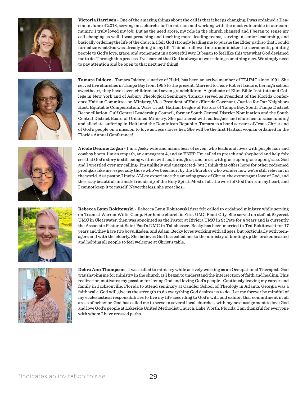

**Victoria Harrison** - One of the amazing things about the call is that it keeps changing. I was ordained a Deacon in June of 2018, serving on a church staff in mission and working with the most vulnerable in our community. I truly loved my job! But as the need arose, my role in the church changed and I began to sense my call changing as well. I was preaching and teaching more, leading teams, serving in senior leadership, and basically ordering the life of the church. I felt God strongly leading me to pursue the Elder path so that I could formalize what God was already doing in my life. This also allowed me to administer the sacraments, pointing people to God's love, grace, and atonement in a powerful way. It began to feel like this was what God designed me to do. Through this process, I've learned that God is always at work doing something new. We simply need to pay attention and be open to that next new thing!



**Tamara Isidore** - Tamara Isidore, a native of Haiti, has been an active member of FLUMC since 1991. She served five churches in Tampa Bay from 1995 to the present. Married to Jean-Robert Isidore, her high school sweetheart, they have seven children and seven grandchildren. A graduate of Elim Bible Institute and College in New York and of Asbury Theological Seminary, Tamara served as President of the Florida Conference Haitian Committee on Ministry, Vice-President of Haiti/Florida Covenant, Justice for Our Neighbors Host, Equitable Compensation, Ware Trust, Haitian League of Pastors of Tampa Bay, South Tampa District Reconciliation, Gulf Central Leadership Council, former South Central District Nomination and the South Central District Board of Ordained Ministry. She partnered with colleagues and churches to raise funding and alleviate suffering in Haiti and the Dominican Republic. Tamara is a bond servant of Jesus Christ and of God's people on a mission to love as Jesus loves her. She will be the first Haitian woman ordained in the Florida Annual Conference!



**Nicole Deanne Logan** - I'm a geeky wife and mama bear of seven, who leads and loves with purple hair and cowboy boots. I'm an empath, an enneagram 4, and an ENFP. I'm called to preach and shepherd and help folx see that God's story is still being written with us, through us, and in us, with grace upon grace upon grace. God and I wrestled over my calling- I'm unlikely and unexpected- but I think that offers hope for other redeemed prodigals like me, especially those who've been hurt by the Church or who wonder how we're still relevant in the world. As a pastor, I invite ALL to experience the amazing grace of Christ, the extravagant love of God, and the crazy beautiful, intimate friendship of the Holy Spirit. Most of all, the word of God burns in my heart, and I cannot keep it to myself. Nevertheless, she preaches…



**Rebecca Lynn Rokitowski** - Rebecca Lynn Rokitowski first felt called to ordained ministry while serving on Team at Warren Willis Camp. Her home church is First UMC Plant City. She served on staff at Skycrest UMC in Clearwater, then was appointed as the Pastor at Riviera UMC in St Pete for 4 years and is currently the Associate Pastor at Saint Paul's UMC in Tallahassee. Becky has been married to Ted Rokitowski for 17 years and they have two boys, Kaden, and Adam. Becky loves working with all ages, but particularly with teenagers and with the elderly. She believes God has called her to the ministry of binding up the brokenhearted and helping all people to feel welcome at Christ's table.



**Debra Ann Thompson** - I was called to ministry while actively working as an Occupational Therapist. God was shaping me for ministry in the church as I began to understand the intersection of faith and healing. This realization motivates my passion for loving God and loving God's people. Cautiously leaving my career and family in Jacksonville, Florida to attend seminary at Candler School of Theology in Atlanta, Georgia was a faith walk. God will give us the strength to do everything God desires us to do. Let me forever be mindful of my ecclesiastical responsibilities to live my life according to God's will, and exhibit that commitment in all areas of behavior. God has called me to serve in several local churches, with my next assignment to love God and love God's people at Lakeside United Methodist Church, Lake Worth, Florida. I am thankful for everyone with whom I have crossed paths.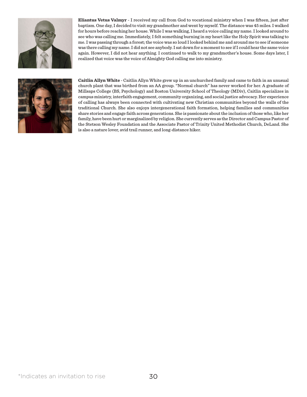

**Eliantus Vetus Valmyr** - I received my call from God to vocational ministry when I was fifteen, just after baptism. One day, I decided to visit my grandmother and went by myself. The distance was 45 miles. I walked for hours before reaching her house. While I was walking, I heard a voice calling my name. I looked around to see who was calling me. Immediately, I felt something burning in my heart like the Holy Spirit was talking to me. I was passing through a forest; the voice was so loud I looked behind me and around me to see if someone was there calling my name. I did not see anybody. I sat down for a moment to see if I could hear the same voice again. However, I did not hear anything. I continued to walk to my grandmother's house. Some days later, I realized that voice was the voice of Almighty God calling me into ministry.



**Caitlin Allyn White** - Caitlin Allyn White grew up in an unchurched family and came to faith in an unusual church plant that was birthed from an AA group. "Normal church" has never worked for her. A graduate of Millsaps College (BS, Psychology) and Boston University School of Theology (MDiv), Caitlin specializes in campus ministry, interfaith engagement, community organizing, and social justice advocacy. Her experience of calling has always been connected with cultivating new Christian communities beyond the walls of the traditional Church. She also enjoys intergenerational faith formation, helping families and communities share stories and engage faith across generations. She is passionate about the inclusion of those who, like her family, have been hurt or marginalized by religion. She currently serves as the Director and Campus Pastor of the Stetson Wesley Foundation and the Associate Pastor of Trinity United Methodist Church, DeLand. She is also a nature lover, avid trail runner, and long-distance hiker.